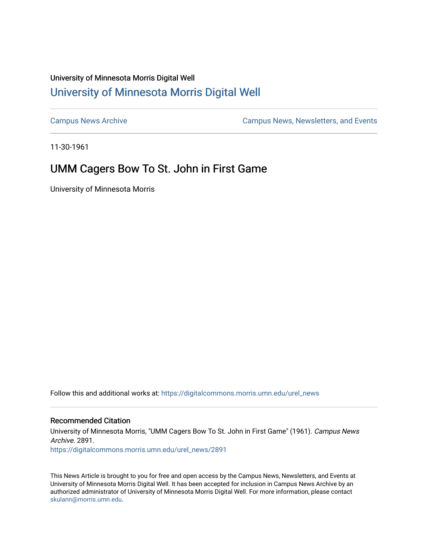# University of Minnesota Morris Digital Well [University of Minnesota Morris Digital Well](https://digitalcommons.morris.umn.edu/)

[Campus News Archive](https://digitalcommons.morris.umn.edu/urel_news) [Campus News, Newsletters, and Events](https://digitalcommons.morris.umn.edu/externalrel) 

11-30-1961

# UMM Cagers Bow To St. John in First Game

University of Minnesota Morris

Follow this and additional works at: [https://digitalcommons.morris.umn.edu/urel\\_news](https://digitalcommons.morris.umn.edu/urel_news?utm_source=digitalcommons.morris.umn.edu%2Furel_news%2F2891&utm_medium=PDF&utm_campaign=PDFCoverPages) 

### Recommended Citation

University of Minnesota Morris, "UMM Cagers Bow To St. John in First Game" (1961). Campus News Archive. 2891.

[https://digitalcommons.morris.umn.edu/urel\\_news/2891](https://digitalcommons.morris.umn.edu/urel_news/2891?utm_source=digitalcommons.morris.umn.edu%2Furel_news%2F2891&utm_medium=PDF&utm_campaign=PDFCoverPages) 

This News Article is brought to you for free and open access by the Campus News, Newsletters, and Events at University of Minnesota Morris Digital Well. It has been accepted for inclusion in Campus News Archive by an authorized administrator of University of Minnesota Morris Digital Well. For more information, please contact [skulann@morris.umn.edu.](mailto:skulann@morris.umn.edu)